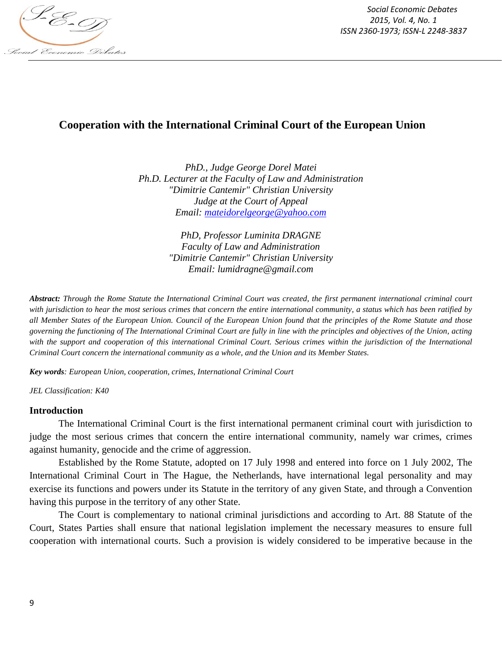

*Social Economic Debates 2015, Vol. 4, No. 1 ISSN 2360-1973; ISSN-L 2248-3837*

# **Cooperation with the International Criminal Court of the European Union**

*PhD., Judge George Dorel Matei Ph.D. Lecturer at the Faculty of Law and Administration "Dimitrie Cantemir" Christian University Judge at the Court of Appeal Email: mateidorelgeorge@yahoo.com*

> *PhD, Professor Luminita DRAGNE Faculty of Law and Administration "Dimitrie Cantemir" Christian University Email: lumidragne@gmail.com*

*Abstract: Through the Rome Statute the International Criminal Court was created, the first permanent international criminal court with jurisdiction to hear the most serious crimes that concern the entire international community, a status which has been ratified by all Member States of the European Union. Council of the European Union found that the principles of the Rome Statute and those governing the functioning of The International Criminal Court are fully in line with the principles and objectives of the Union, acting with the support and cooperation of this international Criminal Court. Serious crimes within the jurisdiction of the International Criminal Court concern the international community as a whole, and the Union and its Member States.*

*Key words: European Union, cooperation, crimes, International Criminal Court*

*JEL Classification: K40*

#### **Introduction**

The International Criminal Court is the first international permanent criminal court with jurisdiction to judge the most serious crimes that concern the entire international community, namely war crimes, crimes against humanity, genocide and the crime of aggression.

Established by the Rome Statute, adopted on 17 July 1998 and entered into force on 1 July 2002, The International Criminal Court in The Hague, the Netherlands, have international legal personality and may exercise its functions and powers under its Statute in the territory of any given State, and through a Convention having this purpose in the territory of any other State.

The Court is complementary to national criminal jurisdictions and according to Art. 88 Statute of the Court, States Parties shall ensure that national legislation implement the necessary measures to ensure full cooperation with international courts. Such a provision is widely considered to be imperative because in the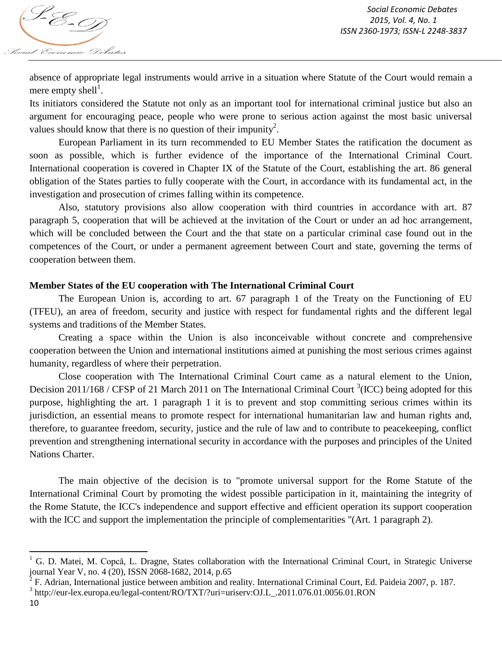absence of appropriate legal instruments would arrive in a situation where Statute of the Court would remain a mere empty shell<sup>1</sup>.

Its initiators considered the Statute not only as an important tool for international criminal justice but also an argument for encouraging peace, people who were prone to serious action against the most basic universal values should know that there is no question of their impunity<sup>2</sup>.

European Parliament in its turn recommended to EU Member States the ratification the document as soon as possible, which is further evidence of the importance of the International Criminal Court. International cooperation is covered in Chapter IX of the Statute of the Court, establishing the art. 86 general obligation of the States parties to fully cooperate with the Court, in accordance with its fundamental act, in the investigation and prosecution of crimes falling within its competence.

Also, statutory provisions also allow cooperation with third countries in accordance with art. 87 paragraph 5, cooperation that will be achieved at the invitation of the Court or under an ad hoc arrangement, which will be concluded between the Court and the that state on a particular criminal case found out in the competences of the Court, or under a permanent agreement between Court and state, governing the terms of cooperation between them.

## **Member States of the EU cooperation with The International Criminal Court**

The European Union is, according to art. 67 paragraph 1 of the Treaty on the Functioning of EU (TFEU), an area of freedom, security and justice with respect for fundamental rights and the different legal systems and traditions of the Member States.

Creating a space within the Union is also inconceivable without concrete and comprehensive cooperation between the Union and international institutions aimed at punishing the most serious crimes against humanity, regardless of where their perpetration.

Close cooperation with The International Criminal Court came as a natural element to the Union, Decision 2011/168 / CFSP of 21 March 2011 on The International Criminal Court  ${}^{3}$ (ICC) being adopted for this purpose, highlighting the art. 1 paragraph 1 it is to prevent and stop committing serious crimes within its jurisdiction, an essential means to promote respect for international humanitarian law and human rights and, therefore, to guarantee freedom, security, justice and the rule of law and to contribute to peacekeeping, conflict prevention and strengthening international security in accordance with the purposes and principles of the United Nations Charter.

The main objective of the decision is to "promote universal support for the Rome Statute of the International Criminal Court by promoting the widest possible participation in it, maintaining the integrity of the Rome Statute, the ICC's independence and support effective and efficient operation its support cooperation with the ICC and support the implementation the principle of complementarities "(Art. 1 paragraph 2).

<sup>3</sup> http://eur-lex.europa.eu/legal-content/RO/TXT/?uri=uriserv:OJ.L\_.2011.076.01.0056.01.RON

10

 $\overline{\phantom{a}}$ 

 $1$  G. D. Matei, M. Copcă, L. Dragne, States collaboration with the International Criminal Court, in Strategic Universe journal Year V, no. 4 (20), ISSN 2068-1682, 2014, p.65

<sup>2</sup> F. Adrian, International justice between ambition and reality. International Criminal Court, Ed. Paideia 2007, p. 187.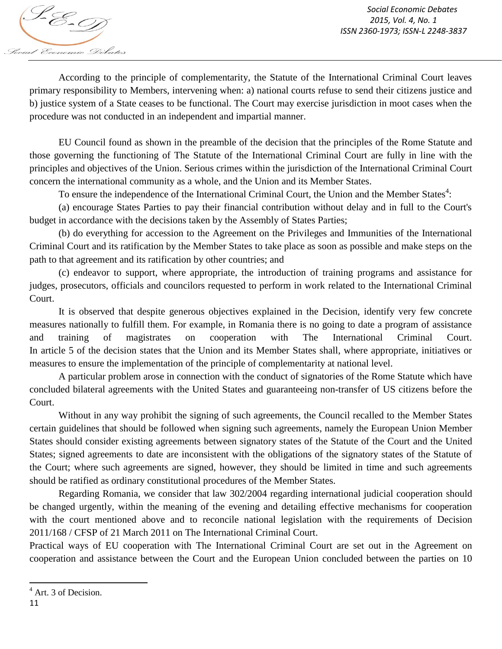

According to the principle of complementarity, the Statute of the International Criminal Court leaves primary responsibility to Members, intervening when: a) national courts refuse to send their citizens justice and b) justice system of a State ceases to be functional. The Court may exercise jurisdiction in moot cases when the procedure was not conducted in an independent and impartial manner.

EU Council found as shown in the preamble of the decision that the principles of the Rome Statute and those governing the functioning of The Statute of the International Criminal Court are fully in line with the principles and objectives of the Union. Serious crimes within the jurisdiction of the International Criminal Court concern the international community as a whole, and the Union and its Member States.

To ensure the independence of the International Criminal Court, the Union and the Member States<sup>4</sup>:

(a) encourage States Parties to pay their financial contribution without delay and in full to the Court's budget in accordance with the decisions taken by the Assembly of States Parties;

(b) do everything for accession to the Agreement on the Privileges and Immunities of the International Criminal Court and its ratification by the Member States to take place as soon as possible and make steps on the path to that agreement and its ratification by other countries; and

(c) endeavor to support, where appropriate, the introduction of training programs and assistance for judges, prosecutors, officials and councilors requested to perform in work related to the International Criminal Court.

It is observed that despite generous objectives explained in the Decision, identify very few concrete measures nationally to fulfill them. For example, in Romania there is no going to date a program of assistance and training of magistrates on cooperation with The International Criminal Court. In article 5 of the decision states that the Union and its Member States shall, where appropriate, initiatives or measures to ensure the implementation of the principle of complementarity at national level.

A particular problem arose in connection with the conduct of signatories of the Rome Statute which have concluded bilateral agreements with the United States and guaranteeing non-transfer of US citizens before the Court.

Without in any way prohibit the signing of such agreements, the Council recalled to the Member States certain guidelines that should be followed when signing such agreements, namely the European Union Member States should consider existing agreements between signatory states of the Statute of the Court and the United States; signed agreements to date are inconsistent with the obligations of the signatory states of the Statute of the Court; where such agreements are signed, however, they should be limited in time and such agreements should be ratified as ordinary constitutional procedures of the Member States.

Regarding Romania, we consider that law 302/2004 regarding international judicial cooperation should be changed urgently, within the meaning of the evening and detailing effective mechanisms for cooperation with the court mentioned above and to reconcile national legislation with the requirements of Decision 2011/168 / CFSP of 21 March 2011 on The International Criminal Court.

Practical ways of EU cooperation with The International Criminal Court are set out in the Agreement on cooperation and assistance between the Court and the European Union concluded between the parties on 10

 $\overline{a}$ 

<sup>&</sup>lt;sup>4</sup> Art. 3 of Decision.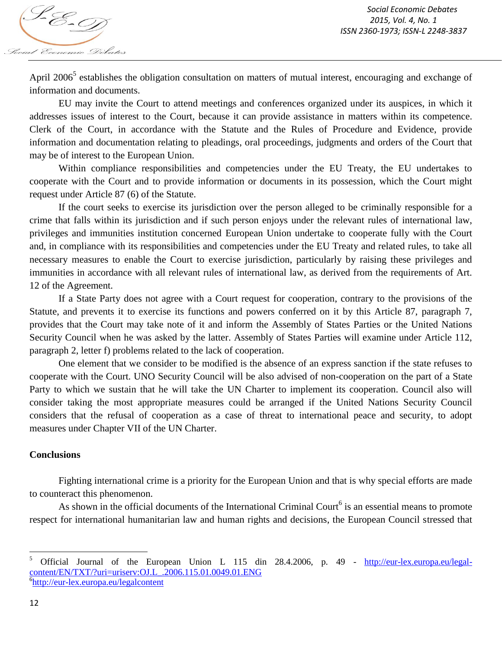

April 2006<sup>5</sup> establishes the obligation consultation on matters of mutual interest, encouraging and exchange of information and documents.

EU may invite the Court to attend meetings and conferences organized under its auspices, in which it addresses issues of interest to the Court, because it can provide assistance in matters within its competence. Clerk of the Court, in accordance with the Statute and the Rules of Procedure and Evidence, provide information and documentation relating to pleadings, oral proceedings, judgments and orders of the Court that may be of interest to the European Union.

Within compliance responsibilities and competencies under the EU Treaty, the EU undertakes to cooperate with the Court and to provide information or documents in its possession, which the Court might request under Article 87 (6) of the Statute.

If the court seeks to exercise its jurisdiction over the person alleged to be criminally responsible for a crime that falls within its jurisdiction and if such person enjoys under the relevant rules of international law, privileges and immunities institution concerned European Union undertake to cooperate fully with the Court and, in compliance with its responsibilities and competencies under the EU Treaty and related rules, to take all necessary measures to enable the Court to exercise jurisdiction, particularly by raising these privileges and immunities in accordance with all relevant rules of international law, as derived from the requirements of Art. 12 of the Agreement.

If a State Party does not agree with a Court request for cooperation, contrary to the provisions of the Statute, and prevents it to exercise its functions and powers conferred on it by this Article 87, paragraph 7, provides that the Court may take note of it and inform the Assembly of States Parties or the United Nations Security Council when he was asked by the latter. Assembly of States Parties will examine under Article 112, paragraph 2, letter f) problems related to the lack of cooperation.

One element that we consider to be modified is the absence of an express sanction if the state refuses to cooperate with the Court. UNO Security Council will be also advised of non-cooperation on the part of a State Party to which we sustain that he will take the UN Charter to implement its cooperation. Council also will consider taking the most appropriate measures could be arranged if the United Nations Security Council considers that the refusal of cooperation as a case of threat to international peace and security, to adopt measures under Chapter VII of the UN Charter.

#### **Conclusions**

Fighting international crime is a priority for the European Union and that is why special efforts are made to counteract this phenomenon.

As shown in the official documents of the International Criminal Court<sup>6</sup> is an essential means to promote respect for international humanitarian law and human rights and decisions, the European Council stressed that

<sup>5</sup> <sup>5</sup> Official Journal of the European Union L 115 din 28.4.2006, p. 49 - http://eur-lex.europa.eu/legalcontent/EN/TXT/?uri=uriserv:OJ.L\_.2006.115.01.0049.01.ENG 6 http://eur-lex.europa.eu/legalcontent